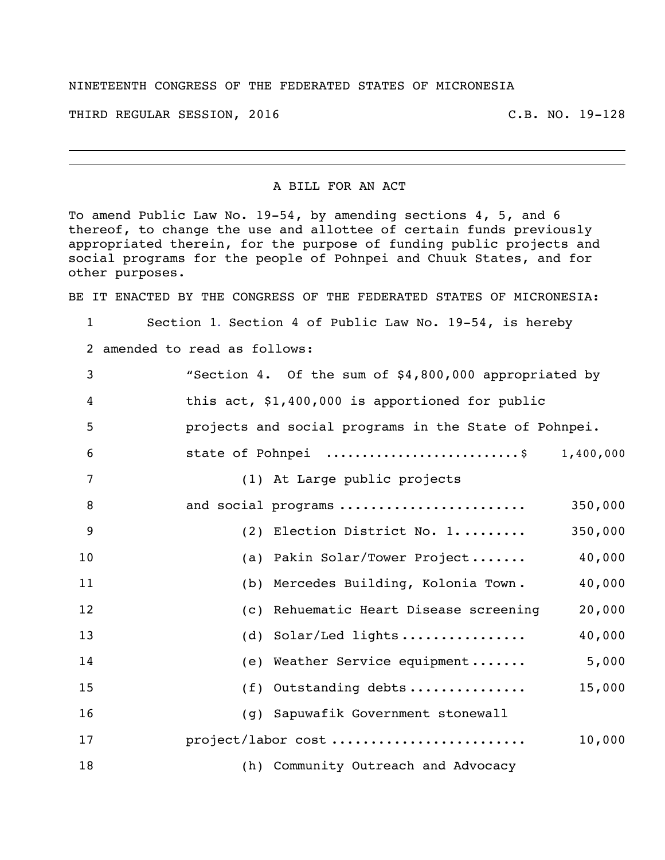## NINETEENTH CONGRESS OF THE FEDERATED STATES OF MICRONESIA

THIRD REGULAR SESSION, 2016 C.B. NO. 19-128

## A BILL FOR AN ACT

To amend Public Law No. 19-54, by amending sections 4, 5, and 6 thereof, to change the use and allottee of certain funds previously appropriated therein, for the purpose of funding public projects and social programs for the people of Pohnpei and Chuuk States, and for other purposes.

BE IT ENACTED BY THE CONGRESS OF THE FEDERATED STATES OF MICRONESIA:

Section 1. Section 4 of Public Law No. 19-54, is hereby

amended to read as follows:

| 3  | "Section 4. Of the sum of \$4,800,000 appropriated by |
|----|-------------------------------------------------------|
| 4  | this act, \$1,400,000 is apportioned for public       |
| 5  | projects and social programs in the State of Pohnpei. |
| 6  | state of Pohnpei \$ 1,400,000                         |
| 7  | (1) At Large public projects                          |
| 8  | and social programs<br>350,000                        |
| 9  | 350,000<br>(2) Election District No. 1                |
| 10 | (a) Pakin Solar/Tower Project<br>40,000               |
| 11 | (b) Mercedes Building, Kolonia Town.<br>40,000        |
| 12 | (c) Rehuematic Heart Disease screening<br>20,000      |
| 13 | 40,000<br>(d) Solar/Led lights                        |
| 14 | 5,000<br>(e) Weather Service equipment                |
| 15 | (f) Outstanding debts<br>15,000                       |
| 16 | (g) Sapuwafik Government stonewall                    |
| 17 | project/labor cost<br>10,000                          |
| 18 | (h) Community Outreach and Advocacy                   |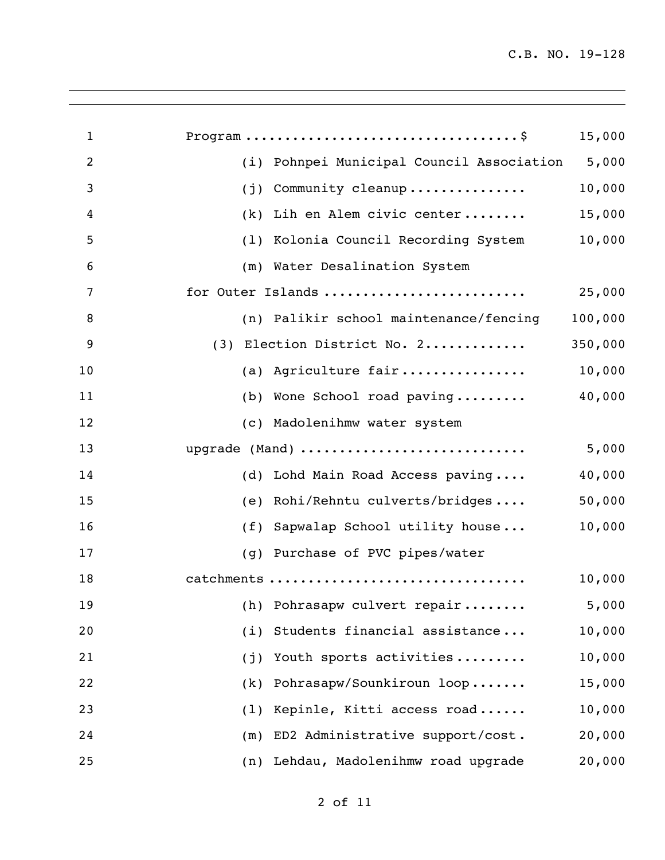| $\mathbf{1}$   |                                           | 15,000  |
|----------------|-------------------------------------------|---------|
| $\overline{2}$ | (i) Pohnpei Municipal Council Association | 5,000   |
| 3              | Community cleanup<br>(j)                  | 10,000  |
| 4              | Lih en Alem civic center<br>(k)           | 15,000  |
| 5              | Kolonia Council Recording System<br>(1)   | 10,000  |
| 6              | (m) Water Desalination System             |         |
| 7              | for Outer Islands                         | 25,000  |
| 8              | (n) Palikir school maintenance/fencing    | 100,000 |
| 9              | (3) Election District No. 2               | 350,000 |
| 10             | (a) Agriculture fair                      | 10,000  |
| 11             | (b) Wone School road paving               | 40,000  |
| 12             | (c) Madolenihmw water system              |         |
| 13             | upgrade (Mand)                            | 5,000   |
| 14             | (d) Lohd Main Road Access paving          | 40,000  |
| 15             | Rohi/Rehntu culverts/bridges<br>(e)       | 50,000  |
| 16             | Sapwalap School utility house<br>(f)      | 10,000  |
| 17             | Purchase of PVC pipes/water<br>(q)        |         |
| 18             | catchments                                | 10,000  |
| 19             | (h) Pohrasapw culvert repair              | 5,000   |
| 20             | Students financial assistance<br>(i)      | 10,000  |
| 21             | Youth sports activities<br>(j)            | 10,000  |
| 22             | Pohrasapw/Sounkiroun loop<br>(k)          | 15,000  |
| 23             | Kepinle, Kitti access road<br>(1)         | 10,000  |
| 24             | ED2 Administrative support/cost.<br>(m)   | 20,000  |
| 25             | Lehdau, Madolenihmw road upgrade<br>(n)   | 20,000  |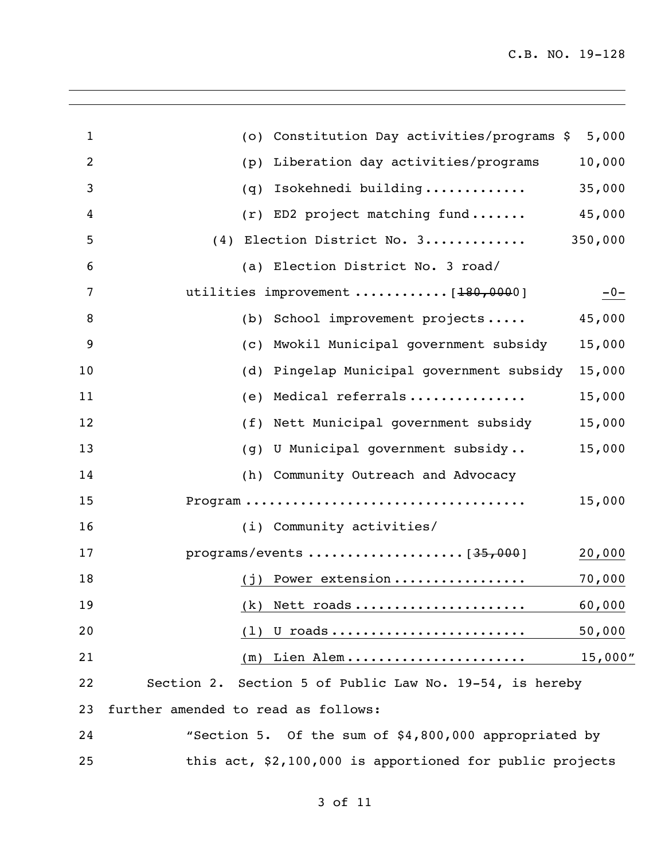| $\mathbf{1}$ | (0)                                 | Constitution Day activities/programs \$                  | 5,000    |
|--------------|-------------------------------------|----------------------------------------------------------|----------|
| 2            | (p)                                 | Liberation day activities/programs                       | 10,000   |
| 3            | (q)                                 | Isokehnedi building                                      | 35,000   |
| 4            |                                     | (r) ED2 project matching fund                            | 45,000   |
| 5            |                                     | (4) Election District No. 3                              | 350,000  |
| 6            |                                     | (a) Election District No. 3 road/                        |          |
| 7            |                                     | utilities improvement  [180,0000]                        | $-0-$    |
| 8            |                                     | (b) School improvement projects                          | 45,000   |
| 9            | (C)                                 | Mwokil Municipal government subsidy                      | 15,000   |
| 10           | (d)                                 | Pingelap Municipal government subsidy                    | 15,000   |
| 11           | (e)                                 | Medical referrals                                        | 15,000   |
| 12           |                                     | (f) Nett Municipal government subsidy                    | 15,000   |
| 13           | (q)                                 | U Municipal government subsidy                           | 15,000   |
| 14           |                                     | (h) Community Outreach and Advocacy                      |          |
| 15           |                                     |                                                          | 15,000   |
| 16           |                                     | (i) Community activities/                                |          |
| 17           |                                     |                                                          | 20,000   |
| 18           | (i)                                 | Power extension                                          | 70,000   |
| 19           |                                     | $(k)$ Nett roads                                         | 60,000   |
| 20           | (1)                                 | U roads <u></u>                                          | 50,000   |
| 21           | (m)                                 | Lien Alem                                                | 15,000'' |
| 22           |                                     | Section 2. Section 5 of Public Law No. 19-54, is hereby  |          |
| 23           | further amended to read as follows: |                                                          |          |
| 24           |                                     | "Section 5. Of the sum of \$4,800,000 appropriated by    |          |
| 25           |                                     | this act, \$2,100,000 is apportioned for public projects |          |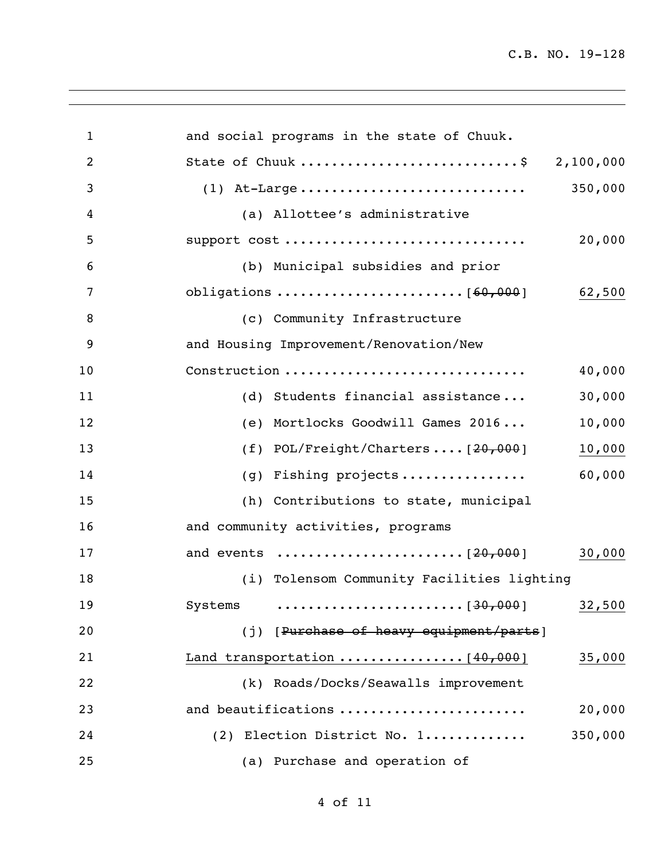| $\mathbf{1}$   | and social programs in the state of Chuuk.   |
|----------------|----------------------------------------------|
| $\overline{2}$ | State of Chuuk \$ 2,100,000                  |
| 3              | 350,000                                      |
| 4              | (a) Allottee's administrative                |
| 5              | support cost<br>20,000                       |
| 6              | (b) Municipal subsidies and prior            |
| 7              | 62,500                                       |
| 8              | (c) Community Infrastructure                 |
| 9              | and Housing Improvement/Renovation/New       |
| 10             | Construction<br>40,000                       |
| 11             | 30,000<br>(d) Students financial assistance  |
| 12             | 10,000<br>(e) Mortlocks Goodwill Games 2016  |
| 13             | (f) $POL/Freight/Charles [20,000]$<br>10,000 |
| 14             | 60,000<br>Fishing projects<br>(g)            |
| 15             | (h) Contributions to state, municipal        |
| 16             | and community activities, programs           |
| 17             | 30,000                                       |
| 18             | (i) Tolensom Community Facilities lighting   |
| 19             |                                              |
| 20             | (j) [Purchase of heavy equipment/parts]      |
| 21             | Land transportation  [40,000]<br>35,000      |
| 22             | (k) Roads/Docks/Seawalls improvement         |
| 23             | and beautifications<br>20,000                |
| 24             | (2) Election District No. 1<br>350,000       |
| 25             | (a) Purchase and operation of                |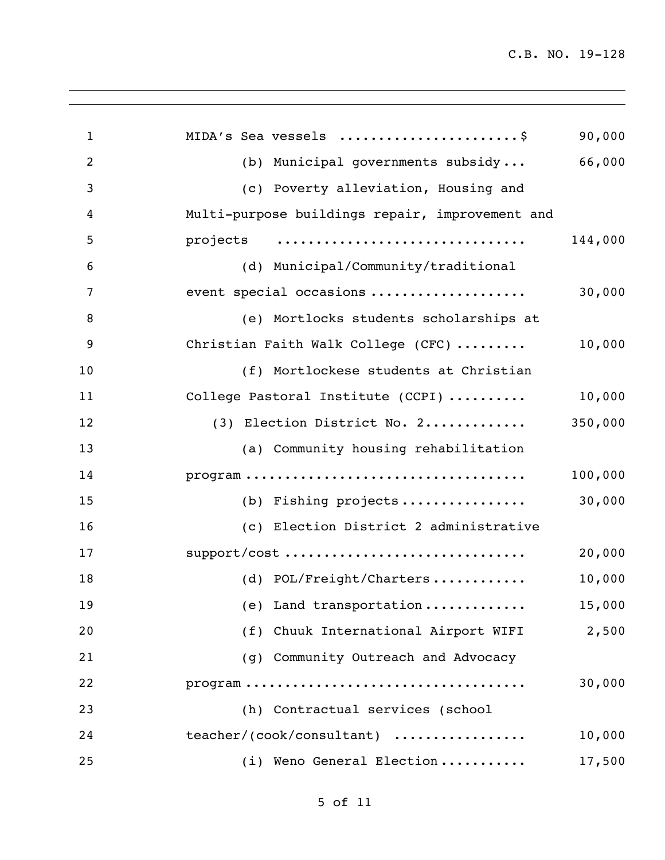| $\mathbf{1}$   | MIDA's Sea vessels \$                                                                | 90,000  |
|----------------|--------------------------------------------------------------------------------------|---------|
| $\overline{2}$ | (b) Municipal governments subsidy                                                    | 66,000  |
| 3              | (c) Poverty alleviation, Housing and                                                 |         |
| 4              | Multi-purpose buildings repair, improvement and                                      |         |
| 5              | projects                                                                             | 144,000 |
| 6              | (d) Municipal/Community/traditional                                                  |         |
| 7              | event special occasions                                                              | 30,000  |
| 8              | (e) Mortlocks students scholarships at                                               |         |
| 9              | Christian Faith Walk College (CFC)                                                   | 10,000  |
| 10             | (f) Mortlockese students at Christian                                                |         |
| 11             | College Pastoral Institute (CCPI)                                                    | 10,000  |
| 12             | (3) Election District No. 2                                                          | 350,000 |
| 13             | (a) Community housing rehabilitation                                                 |         |
| 14             | $\texttt{program} \dots \dots \dots \dots \dots \dots \dots \dots \dots \dots \dots$ | 100,000 |
| 15             | (b) Fishing projects                                                                 | 30,000  |
| 16             | (c) Election District 2 administrative                                               |         |
| 17             | support/cost                                                                         | 20,000  |
| 18             | (d) POL/Freight/Charters                                                             | 10,000  |
| 19             | (e) Land transportation                                                              | 15,000  |
| 20             | (f) Chuuk International Airport WIFI                                                 | 2,500   |
| 21             | (q) Community Outreach and Advocacy                                                  |         |
| 22             |                                                                                      | 30,000  |
| 23             | (h) Contractual services (school                                                     |         |
| 24             | teacher/(cook/consultant)                                                            | 10,000  |
| 25             | (i) Weno General Election                                                            | 17,500  |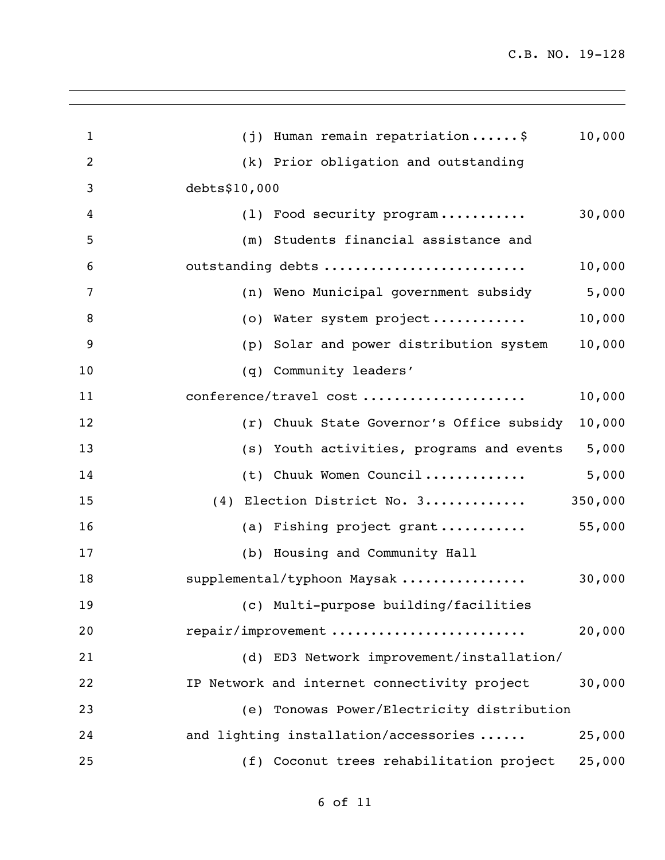|                                              | 10,000  |
|----------------------------------------------|---------|
| (j) Human remain repatriation \$             |         |
| (k) Prior obligation and outstanding         |         |
| debts\$10,000                                |         |
| (1) Food security program                    | 30,000  |
| (m) Students financial assistance and        |         |
| outstanding debts                            | 10,000  |
| (n) Weno Municipal government subsidy        | 5,000   |
| (o) Water system project                     | 10,000  |
| Solar and power distribution system<br>(p)   | 10,000  |
| (q) Community leaders'                       |         |
| conference/travel cost                       | 10,000  |
| (r) Chuuk State Governor's Office subsidy    | 10,000  |
| (s) Youth activities, programs and events    | 5,000   |
| (t) Chuuk Women Council                      | 5,000   |
| (4) Election District No. 3                  | 350,000 |
| (a) Fishing project grant                    | 55,000  |
| (b) Housing and Community Hall               |         |
| supplemental/typhoon Maysak                  | 30,000  |
| (c) Multi-purpose building/facilities        |         |
| repair/improvement                           | 20,000  |
| (d) ED3 Network improvement/installation/    |         |
| IP Network and internet connectivity project | 30,000  |
| (e) Tonowas Power/Electricity distribution   |         |
| and lighting installation/accessories        | 25,000  |
| (f) Coconut trees rehabilitation project     | 25,000  |
|                                              |         |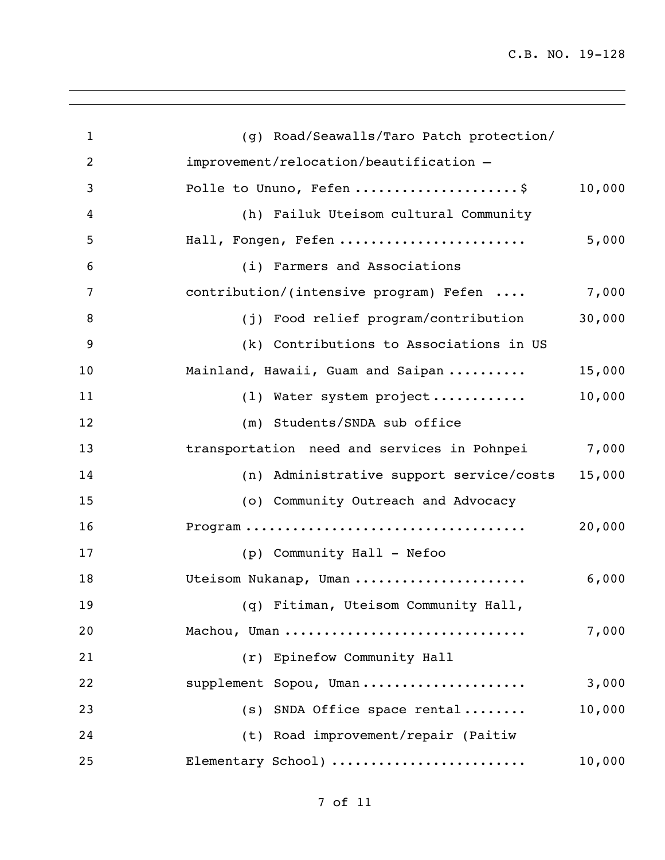| $\mathbf{1}$   | (g) Road/Seawalls/Taro Patch protection/    |        |
|----------------|---------------------------------------------|--------|
| $\overline{2}$ | improvement/relocation/beautification -     |        |
| 3              | Polle to Ununo, Fefen \$                    | 10,000 |
| 4              | (h) Failuk Uteisom cultural Community       |        |
| 5              | Hall, Fongen, Fefen                         | 5,000  |
| 6              | (i) Farmers and Associations                |        |
| 7              | contribution/(intensive program) Fefen      | 7,000  |
| 8              | (j) Food relief program/contribution        | 30,000 |
| 9              | (k) Contributions to Associations in US     |        |
| 10             | Mainland, Hawaii, Guam and Saipan           | 15,000 |
| 11             | (1) Water system project                    | 10,000 |
| 12             | (m) Students/SNDA sub office                |        |
| 13             | transportation need and services in Pohnpei | 7,000  |
| 14             | (n) Administrative support service/costs    | 15,000 |
| 15             | (o) Community Outreach and Advocacy         |        |
| 16             |                                             | 20,000 |
| 17             | (p) Community Hall - Nefoo                  |        |
| 18             | Uteisom Nukanap, Uman                       | 6,000  |
| 19             | (q) Fitiman, Uteisom Community Hall,        |        |
| 20             | Machou, Uman                                | 7,000  |
| 21             | (r) Epinefow Community Hall                 |        |
| 22             | supplement Sopou, Uman                      | 3,000  |
| 23             | (s) SNDA Office space rental                | 10,000 |
| 24             | (t) Road improvement/repair (Paitiw         |        |
| 25             | Elementary School)                          | 10,000 |
|                |                                             |        |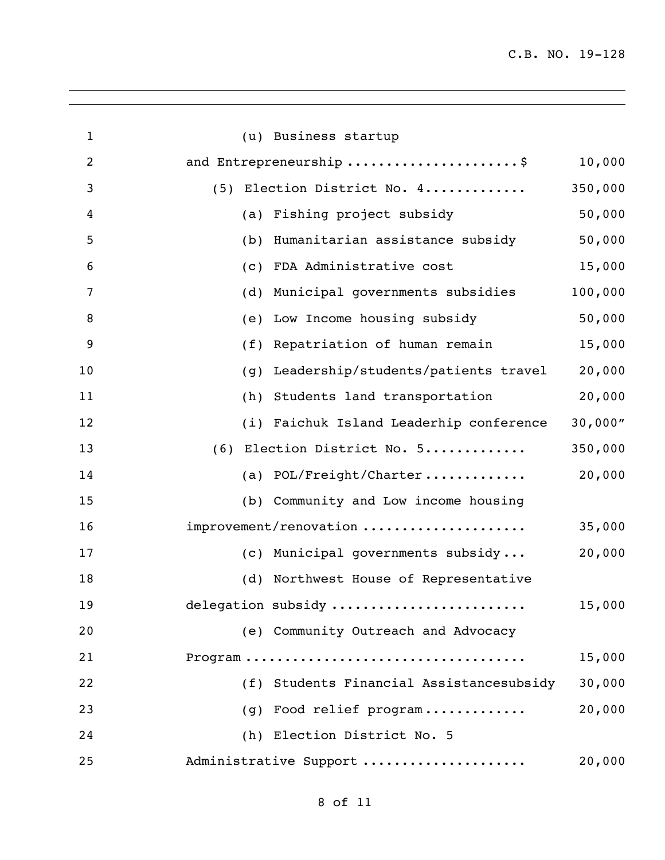| $\mathbf{1}$   | (u) Business startup                             |         |
|----------------|--------------------------------------------------|---------|
| $\overline{2}$ | and Entrepreneurship \$                          | 10,000  |
| 3              | (5) Election District No. 4                      | 350,000 |
| 4              | (a) Fishing project subsidy                      | 50,000  |
| 5              | Humanitarian assistance subsidy<br>(b)           | 50,000  |
| 6              | FDA Administrative cost<br>(c)                   | 15,000  |
| 7              | Municipal governments subsidies<br>(d)           | 100,000 |
| 8              | Low Income housing subsidy<br>(e)                | 50,000  |
| 9              | Repatriation of human remain<br>(f)              | 15,000  |
| 10             | Leadership/students/patients travel<br>(g)       | 20,000  |
| 11             | Students land transportation<br>(h)              | 20,000  |
| 12             | (i) Faichuk Island Leaderhip conference          | 30,000" |
| 13             | (6) Election District No. 5                      | 350,000 |
| 14             | (a) $POL/Freight/Character \ldots \ldots \ldots$ | 20,000  |
| 15             | (b) Community and Low income housing             |         |
| 16             | improvement/renovation                           | 35,000  |
| 17             | (c) Municipal governments subsidy                | 20,000  |
| 18             | (d) Northwest House of Representative            |         |
| 19             | delegation subsidy                               | 15,000  |
| 20             | (e) Community Outreach and Advocacy              |         |
| 21             |                                                  | 15,000  |
| 22             | (f) Students Financial Assistancesubsidy         | 30,000  |
| 23             | (g) Food relief program                          | 20,000  |
| 24             | (h) Election District No. 5                      |         |
| 25             | Administrative Support                           | 20,000  |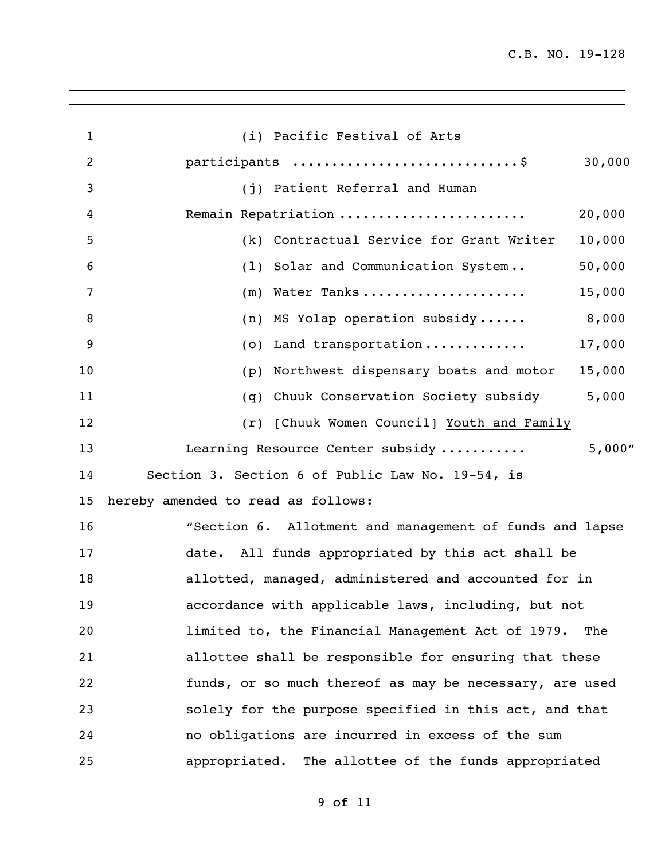| $\mathbf{1}$   | (i) Pacific Festival of Arts                            |
|----------------|---------------------------------------------------------|
| $\overline{2}$ | 30,000                                                  |
| 3              | (j) Patient Referral and Human                          |
| 4              | Remain Repatriation<br>20,000                           |
| 5              | (k) Contractual Service for Grant Writer<br>10,000      |
| 6              | 50,000<br>(1) Solar and Communication System            |
| 7              | Water Tanks<br>15,000<br>(m)                            |
| 8              | 8,000<br>(n) MS Yolap operation subsidy                 |
| 9              | Land transportation<br>17,000<br>(0)                    |
| 10             | Northwest dispensary boats and motor<br>15,000<br>(p)   |
| 11             | Chuuk Conservation Society subsidy<br>5,000<br>(q)      |
| 12             | (r) [Chuuk Women Council] Youth and Family              |
| 13             | 5,000''<br>Learning Resource Center subsidy             |
| 14             | Section 3. Section 6 of Public Law No. 19-54, is        |
| 15             | hereby amended to read as follows:                      |
| 16             | "Section 6. Allotment and management of funds and lapse |
| 17             | date. All funds appropriated by this act shall be       |
| 18             | allotted, managed, administered and accounted for in    |
| 19             | accordance with applicable laws, including, but not     |
| 20             | limited to, the Financial Management Act of 1979. The   |
| 21             | allottee shall be responsible for ensuring that these   |
| 22             | funds, or so much thereof as may be necessary, are used |
| 23             | solely for the purpose specified in this act, and that  |
| 24             | no obligations are incurred in excess of the sum        |
| 25             | appropriated. The allottee of the funds appropriated    |

of 11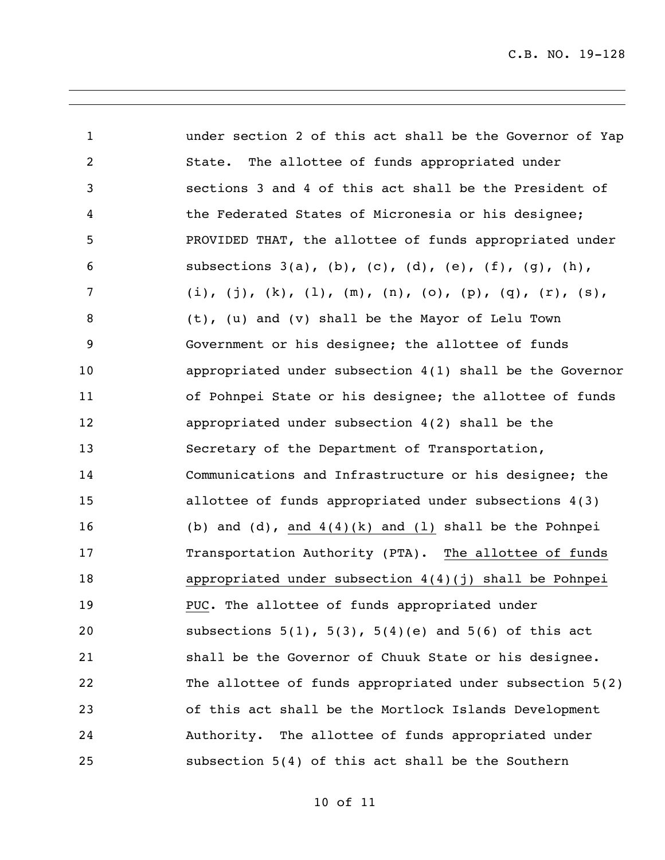| $\mathbf{1}$      | under section 2 of this act shall be the Governor of Yap       |
|-------------------|----------------------------------------------------------------|
| $\overline{c}$    | State. The allottee of funds appropriated under                |
| 3                 | sections 3 and 4 of this act shall be the President of         |
| $\overline{4}$    | the Federated States of Micronesia or his designee;            |
| 5                 | PROVIDED THAT, the allottee of funds appropriated under        |
| 6                 | subsections $3(a)$ , (b), (c), (d), (e), (f), (g), (h),        |
| 7                 | (i), (j), (k), (l), (m), (n), (o), (p), (q), (r), (s),         |
| 8                 | (t), (u) and (v) shall be the Mayor of Lelu Town               |
| 9                 | Government or his designee; the allottee of funds              |
| 10                | appropriated under subsection $4(1)$ shall be the Governor     |
| 11                | of Pohnpei State or his designee; the allottee of funds        |
| $12 \overline{ }$ | appropriated under subsection 4(2) shall be the                |
| 13                | Secretary of the Department of Transportation,                 |
| 14                | Communications and Infrastructure or his designee; the         |
| 15                | allottee of funds appropriated under subsections 4(3)          |
| 16                | (b) and $(d)$ , and $4(4)(k)$ and $(l)$ shall be the Pohnpei   |
| 17                | Transportation Authority (PTA). The allottee of funds          |
| 18                | appropriated under subsection $4(4)(j)$ shall be Pohnpei       |
| 19                | PUC. The allottee of funds appropriated under                  |
| 20                | subsections $5(1)$ , $5(3)$ , $5(4)(e)$ and $5(6)$ of this act |
| 21                | shall be the Governor of Chuuk State or his designee.          |
| 22                | The allottee of funds appropriated under subsection 5(2)       |
| 23                | of this act shall be the Mortlock Islands Development          |
| 24                | Authority. The allottee of funds appropriated under            |
| 25                | subsection 5(4) of this act shall be the Southern              |